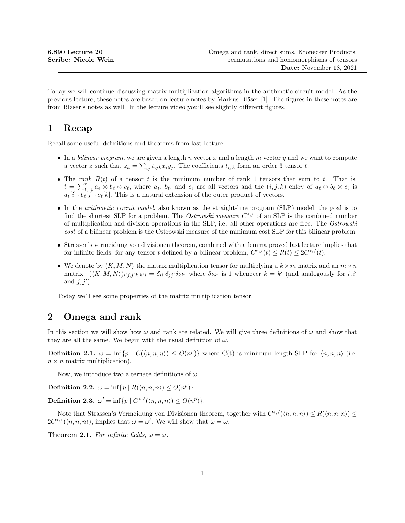Today we will continue discussing matrix multiplication algorithms in the arithmetic circuit model. As the previous lecture, these notes are based on lecture notes by Markus Bläser [1]. The figures in these notes are from Bläser's notes as well. In the lecture video you'll see slightly different figures.

# 1 Recap

Recall some useful definitions and theorems from last lecture:

- In a *bilinear program*, we are given a length n vector x and a length m vector y and we want to compute a vector z such that  $z_k = \sum_{ij} t_{ijk} x_i y_j$ . The coefficients  $t_{ijk}$  form an order 3 tensor t.
- The rank  $R(t)$  of a tensor t is the minimum number of rank 1 tensors that sum to t. That is,  $t = \sum_{\ell=1}^r a_\ell \otimes b_\ell \otimes c_\ell$ , where  $a_\ell$ ,  $b_\ell$ , and  $c_\ell$  are all vectors and the  $(i, j, k)$  entry of  $a_\ell \otimes b_\ell \otimes c_\ell$  is  $a_{\ell}[i] \cdot b_{\ell}[j] \cdot c_{\ell}[k]$ . This is a natural extension of the outer product of vectors.
- In the *arithmetic circuit model*, also known as the straight-line program (SLP) model, the goal is to find the shortest SLP for a problem. The *Ostrowski measure*  $C^{*,/}$  of an SLP is the combined number of multiplication and division operations in the SLP, i.e. all other operations are free. The Ostrowski cost of a bilinear problem is the Ostrowski measure of the minimum cost SLP for this bilinear problem.
- Strassen's vermeidung von divisionen theorem, combined with a lemma proved last lecture implies that for infinite fields, for any tensor t defined by a bilinear problem,  $C^{*,/}(t) \leq R(t) \leq 2C^{*,/}(t)$ .
- We denote by  $\langle K, M, N \rangle$  the matrix multiplication tensor for multiplying a  $k \times m$  matrix and an  $m \times n$ matrix.  $(\langle K, M, N \rangle)_{i'j, j'k, k'i} = \delta_{ii'} \delta_{jj'} \delta_{kk'}$  where  $\delta_{kk'}$  is 1 whenever  $k = k'$  (and analogously for i, i' and  $j, j'$ ).

Today we'll see some properties of the matrix multiplication tensor.

## 2 Omega and rank

In this section we will show how  $\omega$  and rank are related. We will give three definitions of  $\omega$  and show that they are all the same. We begin with the usual definition of  $\omega$ .

**Definition 2.1.**  $\omega = \inf \{ p \mid C(\langle n, n, n \rangle) \le O(n^p) \}$  where C(t) is minimum length SLP for  $\langle n, n, n \rangle$  (i.e.  $n \times n$  matrix multiplication).

Now, we introduce two alternate definitions of  $\omega$ .

**Definition 2.2.**  $\overline{\omega} = \inf \{ p \mid R(\langle n, n, n \rangle) \le O(n^p) \}.$ 

Definition 2.3.  $\overline{\omega}' = \inf \{ p \mid C^{*,/}(\langle n, n, n \rangle) \le O(n^p) \}.$ 

Note that Strassen's Vermeidung von Divisionen theorem, together with  $C^{*,/}(\langle n,n,n\rangle) \leq R(\langle n,n,n\rangle) \leq$  $2C^{*,/}(\langle n,n,n\rangle),$  implies that  $\overline{\omega}=\overline{\omega}'$ . We will show that  $\omega=\overline{\omega}$ .

**Theorem 2.1.** For infinite fields,  $\omega = \overline{\omega}$ .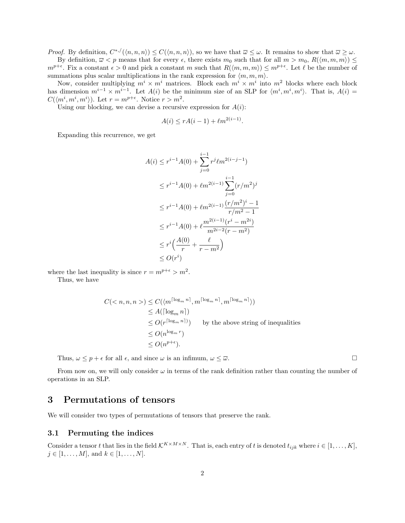*Proof.* By definition,  $C^{*,/}(\langle n,n,n \rangle) \leq C(\langle n,n,n \rangle)$ , so we have that  $\overline{\omega} \leq \omega$ . It remains to show that  $\overline{\omega} \geq \omega$ .

By definition,  $\overline{\omega} < p$  means that for every  $\epsilon$ , there exists  $m_0$  such that for all  $m > m_0$ ,  $R(\langle m, m, m \rangle) \leq$  $m^{p+\epsilon}$ . Fix a constant  $\epsilon > 0$  and pick a constant m such that  $R(\langle m, m, m \rangle) \leq m^{p+\epsilon}$ . Let  $\ell$  be the number of summations plus scalar multiplications in the rank expression for  $\langle m, m, m \rangle$ .

Now, consider multiplying  $m^i \times m^i$  matrices. Block each  $m^i \times m^i$  into  $m^2$  blocks where each block has dimension  $m^{i-1} \times m^{i-1}$ . Let  $A(i)$  be the minimum size of an SLP for  $\langle m^i, m^i, m^i \rangle$ . That is,  $A(i)$  =  $C(\langle m^i, m^i, m^i \rangle)$ . Let  $r = m^{p+\epsilon}$ . Notice  $r > m^2$ .

Using our blocking, we can devise a recursive expression for  $A(i)$ :

$$
A(i) \le rA(i-1) + \ell m^{2(i-1)}.
$$

Expanding this recurrence, we get

$$
A(i) \le r^{i-1}A(0) + \sum_{j=0}^{i-1} r^j \ell m^{2(i-j-1)}
$$
  
\n
$$
\le r^{i-1}A(0) + \ell m^{2(i-1)}\sum_{j=0}^{i-1} (r/m^2)^j
$$
  
\n
$$
\le r^{i-1}A(0) + \ell m^{2(i-1)}\frac{(r/m^2)^i - 1}{r/m^2 - 1}
$$
  
\n
$$
\le r^{i-1}A(0) + \ell \frac{m^{2(i-1)}(r^i - m^{2i})}{m^{2i-2}(r - m^2)}
$$
  
\n
$$
\le r^i \left(\frac{A(0)}{r} + \frac{\ell}{r - m^2}\right)
$$
  
\n
$$
\le O(r^i)
$$

where the last inequality is since  $r = m^{p+\epsilon} > m^2$ .

Thus, we have

$$
C() \leq C(\langle m^{\lceil \log_m n \rceil}, m^{\lceil \log_m n \rceil}, m^{\lceil \log_m n \rceil} \rangle)
$$
  
\n
$$
\leq A(\lceil \log_m n \rceil)
$$
  
\n
$$
\leq O(r^{\lceil \log_m n \rceil})
$$
 by the above string of inequalities  
\n
$$
\leq O(n^{\log_m r})
$$
  
\n
$$
\leq O(n^{p+\epsilon}).
$$

Thus,  $\omega \leq p + \epsilon$  for all  $\epsilon$ , and since  $\omega$  is an infimum,  $\omega \leq \overline{\omega}$ .

From now on, we will only consider  $\omega$  in terms of the rank definition rather than counting the number of operations in an SLP.

## 3 Permutations of tensors

We will consider two types of permutations of tensors that preserve the rank.

#### 3.1 Permuting the indices

Consider a tensor t that lies in the field  $\mathcal{K}^{K \times M \times N}$ . That is, each entry of t is denoted  $t_{ijk}$  where  $i \in [1, \ldots, K]$ ,  $j \in [1, ..., M]$ , and  $k \in [1, ..., N]$ .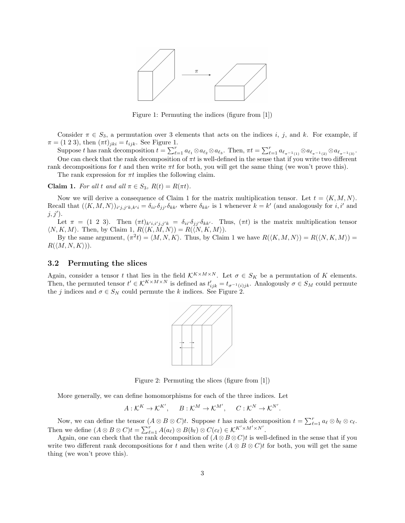

Figure 1: Permuting the indices (figure from [1])

Consider  $\pi \in S_3$ , a permutation over 3 elements that acts on the indices i, j, and k. For example, if  $\pi = (1\ 2\ 3)$ , then  $(\pi t)_{jki} = t_{ijk}$ . See Figure 1.

Suppose t has rank decomposition  $t = \sum_{\ell=1}^r a_{\ell_1} \otimes a_{\ell_2} \otimes a_{\ell_3}$ . Then,  $\pi t = \sum_{\ell=1}^r a_{\ell_{\pi^{-1}(1)}} \otimes a_{\ell_{\pi^{-1}(2)}} \otimes a_{\ell_{\pi^{-1}(3)}}$ . One can check that the rank decomposition of  $\pi t$  is well-defined in the sense that if you write two different

rank decompositions for t and then write  $\pi t$  for both, you will get the same thing (we won't prove this). The rank expression for  $\pi t$  implies the following claim.

**Claim 1.** For all t and all  $\pi \in S_3$ ,  $R(t) = R(\pi t)$ .

Now we will derive a consequence of Claim 1 for the matrix multiplication tensor. Let  $t = \langle K, M, N \rangle$ . Recall that  $(\langle K, M, N \rangle)_{i'j,j'k,k'i} = \delta_{ii'} \delta_{jj'} \delta_{kk'}$  where  $\delta_{kk'}$  is 1 whenever  $k = k'$  (and analogously for i, i' and  $j, j'$ ).

Let  $\pi = (1 \ 2 \ 3)$ . Then  $(\pi t)_{k'i,i'j,j'k} = \delta_{ii'}\delta_{jj'}\delta_{kk'}$ . Thus,  $(\pi t)$  is the matrix multiplication tensor  $\langle N, K, M \rangle$ . Then, by Claim 1,  $R(\langle K, M, N \rangle) = R(\langle N, K, M \rangle)$ .

By the same argument,  $(\pi^2 t) = \langle M, N, K \rangle$ . Thus, by Claim 1 we have  $R(\langle K, M, N \rangle) = R(\langle N, K, M \rangle) =$  $R(\langle M, N, K \rangle)).$ 

#### 3.2 Permuting the slices

Again, consider a tensor t that lies in the field  $\mathcal{K}^{K\times M\times N}$ . Let  $\sigma \in S_K$  be a permutation of K elements. Then, the permuted tensor  $t' \in K^{K \times M \times N}$  is defined as  $t'_{ijk} = t_{\sigma^{-1}(i)jk}$ . Analogously  $\sigma \in S_M$  could permute the j indices and  $\sigma \in S_N$  could permute the k indices. See Figure 2.



Figure 2: Permuting the slices (figure from [1])

More generally, we can define homomorphisms for each of the three indices. Let

$$
A: \mathcal{K}^K \to \mathcal{K}^{K'}, \qquad B: \mathcal{K}^M \to \mathcal{K}^{M'}, \qquad C: \mathcal{K}^N \to \mathcal{K}^{N'}.
$$

Now, we can define the tensor  $(A \otimes B \otimes C)t$ . Suppose t has rank decomposition  $t = \sum_{\ell=1}^r a_\ell \otimes b_\ell \otimes c_\ell$ . Then we define  $(A \otimes B \otimes C)t = \sum_{\ell=1}^r A(a_{\ell}) \otimes B(b_{\ell}) \otimes C(c_{\ell}) \in K^{K' \times M' \times N'}.$ 

Again, one can check that the rank decomposition of  $(A \otimes B \otimes C)t$  is well-defined in the sense that if you write two different rank decompositions for t and then write  $(A \otimes B \otimes C)t$  for both, you will get the same thing (we won't prove this).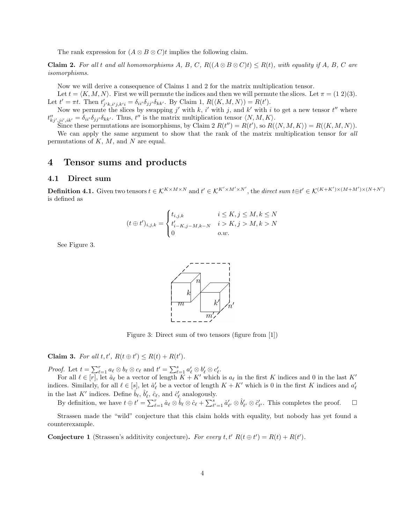The rank expression for  $(A \otimes B \otimes C)t$  implies the following claim.

**Claim 2.** For all t and all homomorphisms A, B, C,  $R((A \otimes B \otimes C)t) \le R(t)$ , with equality if A, B, C are isomorphisms.

Now we will derive a consequence of Claims 1 and 2 for the matrix multiplication tensor.

Let  $t = \langle K, M, N \rangle$ . First we will permute the indices and then we will permute the slices. Let  $\pi = (1 2)(3)$ . Let  $t' = \pi t$ . Then  $t'_{j'k, i'j, k'i} = \delta_{ii'} \delta_{jj'} \delta_{kk'}$ . By Claim 1,  $R(\langle K, M, N \rangle) = R(t')$ .

Now we permute the slices by swapping j' with k, i' with j, and k' with i to get a new tensor  $t''$  where  $t''_{kj',ji',ik'} = \delta_{ii'}\delta_{jj'}\delta_{kk'}$ . Thus,  $t''$  is the matrix multiplication tensor  $\langle N, M, K \rangle$ .

Since these permutations are isomorphisms, by Claim 2  $R(t'') = R(t')$ , so  $R(\langle N, M, K \rangle) = R(\langle K, M, N \rangle)$ .

We can apply the same argument to show that the rank of the matrix multiplication tensor for all permutations of  $K$ ,  $M$ , and  $N$  are equal.

### 4 Tensor sums and products

### 4.1 Direct sum

**Definition 4.1.** Given two tensors  $t \in K^{K \times M \times N}$  and  $t' \in K^{K' \times M' \times N'}$ , the direct sum  $t \oplus t' \in K^{(K+K') \times (M+M') \times (N+N')}$ is defined as

$$
(t \oplus t')_{i,j,k} = \begin{cases} t_{i,j,k} & i \le K, j \le M, k \le N \\ t'_{i-K,j-M,k-N} & i > K, j > M, k > N \\ 0 & o.w. \end{cases}
$$

See Figure 3.



Figure 3: Direct sum of two tensors (figure from [1])

Claim 3. For all  $t, t', R(t \oplus t') \leq R(t) + R(t')$ .

*Proof.* Let  $t = \sum_{\ell=1}^r a_{\ell} \otimes b_{\ell} \otimes c_{\ell}$  and  $t' = \sum_{\ell=1}^s a'_{\ell} \otimes b'_{\ell} \otimes c'_{\ell}$ .

For all  $\ell \in [r]$ , let  $\hat{a}_{\ell}$  be a vector of length  $K + K'$  which is  $a_{\ell}$  in the first K indices and 0 in the last K' indices. Similarly, for all  $\ell \in [s]$ , let  $\hat{a}'_{\ell}$  be a vector of length  $K + K'$  which is 0 in the first K indices and  $a'_{\ell}$ in the last  $K'$  indices. Define  $\hat{b}_\ell, \hat{b}'_\ell, \hat{c}_\ell$ , and  $\hat{c}'_\ell$  analogously.

By definition, we have  $t \oplus t' = \sum_{\ell=1}^r \hat{a}_{\ell} \otimes \hat{b}_{\ell} \otimes \hat{c}_{\ell} + \sum_{\ell'=1}^s \hat{a}'_{\ell'} \otimes \hat{b}'_{\ell'} \otimes \hat{c}'_{\ell'}$ . This completes the proof.  $\Box$ 

Strassen made the "wild" conjecture that this claim holds with equality, but nobody has yet found a counterexample.

**Conjecture 1** (Strassen's additivity conjecture). For every t,  $t' R(t \oplus t') = R(t) + R(t')$ .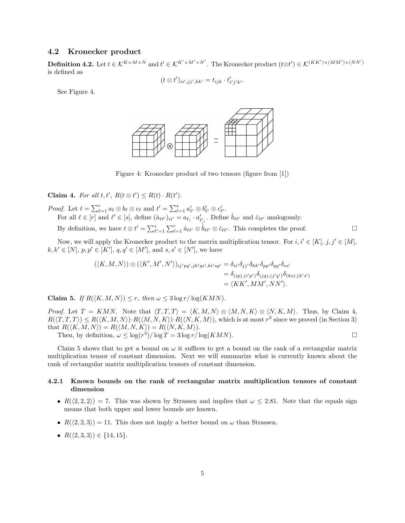### 4.2 Kronecker product

**Definition 4.2.** Let  $t \in K^{K \times M \times N}$  and  $t' \in K^{K' \times M' \times N'}$ . The Kronecker product  $(t \otimes t') \in K^{(KK') \times (MM') \times (NN')}$ is defined as

$$
(t \otimes t')_{ii',jj',kk'} = t_{ijk} \cdot t'_{i'j'k'}.
$$

See Figure 4.



Figure 4: Kronecker product of two tensors (figure from [1])

Claim 4. For all  $t, t', R(t \otimes t') \leq R(t) \cdot R(t')$ .

*Proof.* Let  $t = \sum_{\ell=1}^r a_\ell \otimes b_\ell \otimes c_\ell$  and  $t' = \sum_{\ell=1}^s a'_{\ell'} \otimes b'_{\ell'} \otimes c'_{\ell'}$ . For all  $\ell \in [r]$  and  $\ell' \in [s]$ , define  $(\hat{a}_{\ell\ell'})_{ii'} = a_{\ell_i} \cdot a'_{\ell'_{i'}}$ . Define  $\hat{b}_{\ell\ell'}$  and  $\hat{c}_{\ell\ell'}$  analogously. By definition, we have  $t \otimes t' = \sum_{\ell'=1}^s \sum_{\ell=1}^r \hat{a}_{\ell\ell'} \otimes \hat{b}_{\ell\ell'} \otimes \hat{c}_{\ell\ell'}$ . This completes the proof.

Now, we will apply the Kronecker product to the matrix multiplication tensor. For  $i, i' \in [K], j, j' \in [M]$ ,  $k, k' \in [N], p, p' \in [K'], q, q' \in [M'], \text{ and } s, s' \in [N'], \text{ we have}$ 

$$
(\langle K, M, N \rangle) \otimes (\langle K', M', N' \rangle)_{ij'pq', jk'qs', ki'sp'} = \delta_{ii'} \delta_{jj'} \delta_{kk'} \delta_{pp'} \delta_{qq'} \delta_{ss'}
$$
  
= 
$$
\delta_{(ip),(i'p')} \delta_{(jq),(j'q')} \delta_{(ks),(k's')} = \langle K K', MM', NN' \rangle.
$$

Claim 5. If  $R(\langle K, M, N \rangle) \leq r$ , then  $\omega \leq 3 \log r / \log(KMN)$ .

*Proof.* Let  $T = KMN$ . Note that  $\langle T, T, T \rangle = \langle K, M, N \rangle \otimes \langle M, N, K \rangle \otimes \langle N, K, M \rangle$ . Thus, by Claim 4,  $R(\langle T, T, T \rangle) \le R(\langle K, M, N \rangle) \cdot R(\langle M, N, K \rangle) \cdot R(\langle N, K, M \rangle)$ , which is at most  $r^3$  since we proved (in Section 3) that  $R(\langle K, M, N \rangle) = R(\langle M, N, K \rangle) = R(\langle N, K, M \rangle).$ 

Then, by definition,  $\omega \leq \log(r^3)/\log T = 3 \log r / \log(KMN)$ .

Claim 5 shows that to get a bound on  $\omega$  it suffices to get a bound on the rank of a rectangular matrix multiplication tensor of constant dimension. Next we will summarize what is currently known about the rank of rectangular matrix multiplication tensors of constant dimension.

#### 4.2.1 Known bounds on the rank of rectangular matrix multiplication tensors of constant dimension

- $R(\langle 2, 2, 2 \rangle) = 7$ . This was shown by Strassen and implies that  $\omega \leq 2.81$ . Note that the equals sign means that both upper and lower bounds are known.
- $R(\langle 2, 2, 3 \rangle) = 11$ . This does not imply a better bound on  $\omega$  than Strassen.
- $R(\langle 2, 3, 3 \rangle) \in \{14, 15\}.$